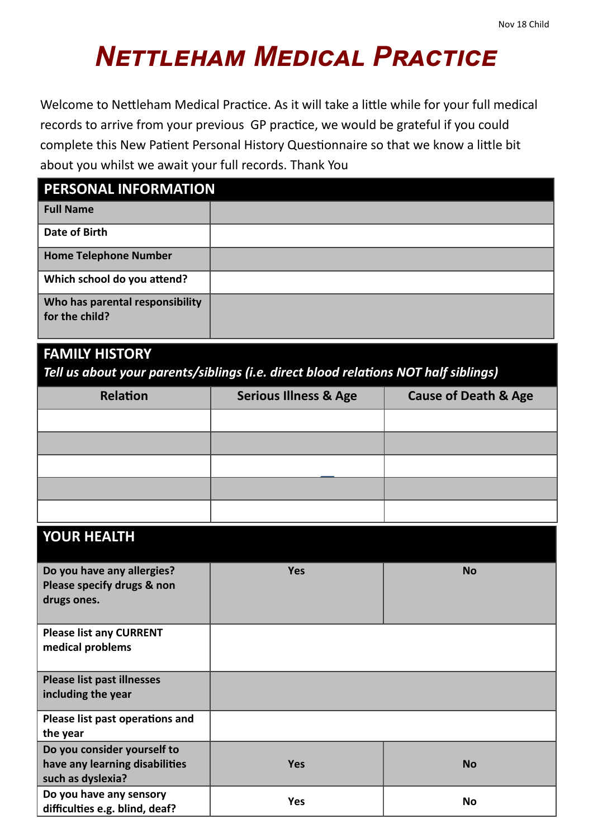## *Nettleham Medical Practice*

Welcome to Nettleham Medical Practice. As it will take a little while for your full medical records to arrive from your previous GP practice, we would be grateful if you could complete this New Patient Personal History Questionnaire so that we know a little bit about you whilst we await your full records. Thank You

| PERSONAL INFORMATION                              |  |  |
|---------------------------------------------------|--|--|
| <b>Full Name</b>                                  |  |  |
| Date of Birth                                     |  |  |
| <b>Home Telephone Number</b>                      |  |  |
| Which school do you attend?                       |  |  |
| Who has parental responsibility<br>for the child? |  |  |

## **FAMILY HISTORY**

*Tell us about your parents/siblings (i.e. direct blood relations NOT half siblings)*

| <b>Relation</b> | <b>Serious Illness &amp; Age</b> | <b>Cause of Death &amp; Age</b> |
|-----------------|----------------------------------|---------------------------------|
|                 |                                  |                                 |
|                 |                                  |                                 |
|                 |                                  |                                 |
|                 |                                  |                                 |
|                 |                                  |                                 |

## **YOUR HEALTH**

| Do you have any allergies?        | <b>Yes</b> | <b>No</b> |
|-----------------------------------|------------|-----------|
| Please specify drugs & non        |            |           |
| drugs ones.                       |            |           |
|                                   |            |           |
| <b>Please list any CURRENT</b>    |            |           |
| medical problems                  |            |           |
|                                   |            |           |
| <b>Please list past illnesses</b> |            |           |
| including the year                |            |           |
| Please list past operations and   |            |           |
| the year                          |            |           |
| Do you consider yourself to       |            |           |
| have any learning disabilities    | <b>Yes</b> | <b>No</b> |
| such as dyslexia?                 |            |           |
| Do you have any sensory           | <b>Yes</b> |           |
| difficulties e.g. blind, deaf?    |            | No        |